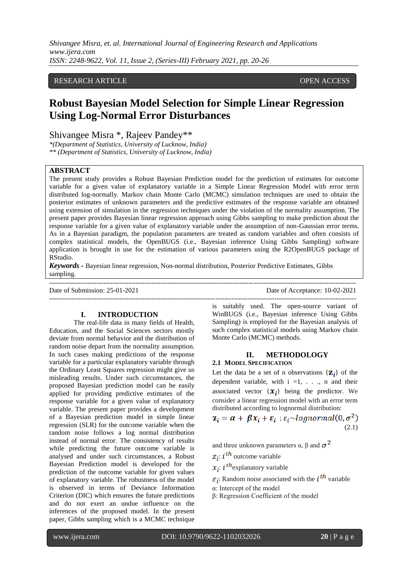*Shivangee Misra, et. al. International Journal of Engineering Research and Applications www.ijera.com ISSN: 2248-9622, Vol. 11, Issue 2, (Series-III) February 2021, pp. 20-26*

# RESEARCH ARTICLE **CONSERVERS** OPEN ACCESS

# **Robust Bayesian Model Selection for Simple Linear Regression Using Log-Normal Error Disturbances**

Shivangee Misra \*, Rajeev Pandey\*\*

*\*(Department of Statistics, University of Lucknow, India) \*\* (Department of Statistics, University of Lucknow, India)*

#### **ABSTRACT**

The present study provides a Robust Bayesian Prediction model for the prediction of estimates for outcome variable for a given value of explanatory variable in a Simple Linear Regression Model with error term distributed log-normally. Markov chain Monte Carlo (MCMC) simulation techniques are used to obtain the posterior estimates of unknown parameters and the predictive estimates of the response variable are obtained using extension of simulation in the regression techniques under the violation of the normality assumption. The present paper provides Bayesian linear regression approach using Gibbs sampling to make prediction about the response variable for a given value of explanatory variable under the assumption of non-Gaussian error terms. As in a Bayesian paradigm, the population parameters are treated as random variables and often consists of complex statistical models, the OpenBUGS (i.e., Bayesian inference Using Gibbs Sampling) software application is brought in use for the estimation of various parameters using the R2OpenBUGS package of RStudio.

*Keywords* **-** Bayesian linear regression, Non-normal distribution, Posterior Predictive Estimates, Gibbs sampling.

---------------------------------------------------------------------------------------------------------------------------------------

 $-1-\frac{1}{2}$ 

Date of Submission: 25-01-2021 Date of Acceptance: 10-02-2021

#### **I. INTRODUCTION**

The real-life data in many fields of Health, Education, and the Social Sciences sectors mostly deviate from normal behavior and the distribution of random noise depart from the normality assumption. In such cases making predictions of the response variable for a particular explanatory variable through the Ordinary Least Squares regression might give us misleading results. Under such circumstances, the proposed Bayesian prediction model can be easily applied for providing predictive estimates of the response variable for a given value of explanatory variable. The present paper provides a development of a Bayesian prediction model in simple linear regression (SLR) for the outcome variable when the random noise follows a log normal distribution instead of normal error. The consistency of results while predicting the future outcome variable is analysed and under such circumstances, a Robust Bayesian Prediction model is developed for the prediction of the outcome variable for given values of explanatory variable. The robustness of the model is observed in terms of Deviance Information Criterion (DIC) which ensures the future predictions and do not exert an undue influence on the inferences of the proposed model. In the present paper, Gibbs sampling which is a MCMC technique

is suitably used. The open-source variant of WinBUGS (i.e., Bayesian inference Using Gibbs Sampling) is employed for the Bayesian analysis of such complex statistical models using Markov chain Monte Carlo (MCMC) methods.

# **II. METHODOLOGY 2.1 MODEL SPECIFICATION**

Let the data be a set of n observations  ${Z_i}$  of the dependent variable, with  $i = 1, \ldots, n$  and their associated vector  $\{x_i\}$  being the predictor. We consider a linear regression model with an error term distributed according to lognormal distribution:

$$
\mathbf{z}_i = \boldsymbol{\alpha} + \boldsymbol{\beta} \mathbf{x}_i + \boldsymbol{\varepsilon}_i : \varepsilon_i \sim \text{lognormal}(0, \sigma^2)
$$
\n(2.1)

and three unknown parameters  $\alpha$ , β and  $\sigma^2$ 

 $z_i$ : i<sup>th</sup> outcome variable

 $x_i$ :  $i^{th}$  explanatory variable

 $\varepsilon_i$ : Random noise associated with the  $i^{th}$  variable

α: Intercept of the model

β: Regression Coefficient of the model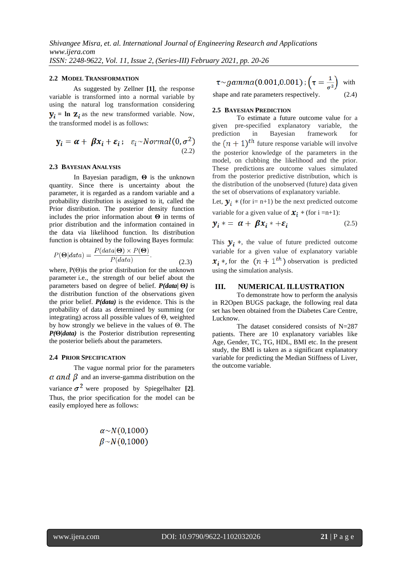#### **2.2 MODEL TRANSFORMATION**

As suggested by Zellner **[1]**, the response variable is transformed into a normal variable by using the natural log transformation considering  $y_i = \ln Z_i$  as the new transformed variable. Now, the transformed model is as follows:

$$
\mathbf{y}_i = \boldsymbol{\alpha} + \boldsymbol{\beta} \mathbf{x}_i + \boldsymbol{\varepsilon}_i ; \ \ \varepsilon_i \sim Normal(0, \sigma^2)
$$
\n(2.2)

## **2.3 BAYESIAN ANALYSIS**

In Bayesian paradigm, **Θ** is the unknown quantity. Since there is uncertainty about the parameter, it is regarded as a random variable and a probability distribution is assigned to it, called the Prior distribution. The posterior density function includes the prior information about **Θ** in terms of prior distribution and the information contained in the data via likelihood function. Its distribution function is obtained by the following Bayes formula:

$$
P(\Theta|data) = \frac{P(data|\Theta) \times P(\Theta)}{P(data)}.
$$
\n(2.3)

where,  $P(\Theta)$  is the prior distribution for the unknown parameter i.e., the strength of our belief about the parameters based on degree of belief. *P(data|* **Θ***)* is the distribution function of the observations given the prior belief. *P(data)* is the evidence. This is the probability of data as determined by summing (or integrating) across all possible values of Θ, weighted by how strongly we believe in the values of Θ. The *P(***Θ***|data)* is the Posterior distribution representing the posterior beliefs about the parameters.

#### **2.4 PRIOR SPECIFICATION**

The vague normal prior for the parameters  $\alpha$  and  $\beta$  and an inverse-gamma distribution on the variance  $\sigma^2$  were proposed by Spiegelhalter [2]. Thus, the prior specification for the model can be easily employed here as follows:

$$
\alpha \sim N(0,1000)
$$
  

$$
\beta \sim N(0,1000)
$$

 $\tau \sim gamma(0.001, 0.001); (\tau = \frac{1}{\sigma^2})$  with shape and rate parameters respectively. (2.4)

#### **2.5 BAYESIAN PREDICTION**

To estimate a future outcome value for a given pre-specified explanatory variable, the prediction in Bayesian framework for the  $(n + 1)$ <sup>th</sup> future response variable will involve the posterior knowledge of the parameters in the model, on clubbing the likelihood and the prior. These predictions are outcome values simulated from the posterior predictive distribution, which is the distribution of the unobserved (future) data given the set of observations of explanatory variable.

Let,  $\mathbf{y}_i$  \* (for i= n+1) be the next predicted outcome

variable for a given value of  $x_i$  \* (for i =n+1):

$$
y_i \ast = \alpha + \beta x_i \ast + \varepsilon_i \tag{2.5}
$$

This  $y_i$ <sup>\*</sup>, the value of future predicted outcome variable for a given value of explanatory variable  $x_i$ <sup>\*</sup>, for the  $(n+1<sup>th</sup>)$  observation is predicted using the simulation analysis.

#### **III. NUMERICAL ILLUSTRATION**

To demonstrate how to perform the analysis in R2Open BUGS package, the following real data set has been obtained from the Diabetes Care Centre, Lucknow.

The dataset considered consists of N=287 patients. There are 10 explanatory variables like Age, Gender, TC, TG, HDL, BMI etc. In the present study, the BMI is taken as a significant explanatory variable for predicting the Median Stiffness of Liver, the outcome variable.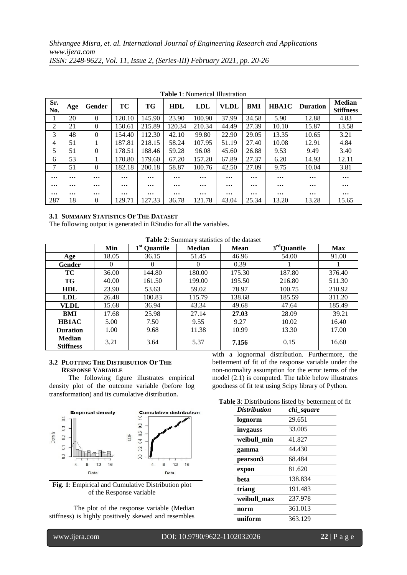| Sr.<br>No. | Age      | Gender   | ТC       | TG       | <b>HDL</b> | <b>LDL</b> | <b>VLDL</b> | BMI      | <b>HBA1C</b> | <b>Duration</b> | <b>Median</b><br><b>Stiffness</b> |
|------------|----------|----------|----------|----------|------------|------------|-------------|----------|--------------|-----------------|-----------------------------------|
|            | 20       | $\theta$ | 120.10   | 145.90   | 23.90      | 100.90     | 37.99       | 34.58    | 5.90         | 12.88           | 4.83                              |
| 2          | 21       | $\Omega$ | 150.61   | 215.89   | 120.34     | 210.34     | 44.49       | 27.39    | 10.10        | 15.87           | 13.58                             |
| 3          | 48       | $\Omega$ | 154.40   | 112.30   | 42.10      | 99.80      | 22.90       | 29.05    | 13.35        | 10.65           | 3.21                              |
| 4          | 51       |          | 187.81   | 218.15   | 58.24      | 107.95     | 51.19       | 27.40    | 10.08        | 12.91           | 4.84                              |
| 5          | 51       | $\theta$ | 178.51   | 188.46   | 59.28      | 96.08      | 45.60       | 26.88    | 9.53         | 9.49            | 3.40                              |
| 6          | 53       |          | 170.80   | 179.60   | 67.20      | 157.20     | 67.89       | 27.37    | 6.20         | 14.93           | 12.11                             |
| 7          | 51       | $\Omega$ | 182.18   | 200.18   | 58.87      | 100.76     | 42.50       | 27.09    | 9.75         | 10.04           | 3.81                              |
| $\cdots$   | $\cdots$ | $\cdots$ | $\cdots$ | $\cdots$ | $\cdots$   | $\cdots$   | $\cdots$    | $\cdots$ | $\cdots$     | $\cdots$        | $\cdots$                          |
| $\cdots$   | $\cdots$ | $\cdots$ | $\cdots$ | $\cdots$ | $\cdots$   | $\cdots$   | $\cdots$    | $\cdots$ | $\cdots$     | $\cdots$        | $\cdots$                          |
| $\cdots$   | $\cdots$ | $\cdots$ | $\cdots$ | $\cdots$ | $\cdots$   | $\cdots$   | $\cdots$    | $\cdots$ | $\cdots$     | $\cdots$        | $\cdots$                          |
| 287        | 18       | $\theta$ | 129.71   | 127.33   | 36.78      | 121.78     | 43.04       | 25.34    | 13.20        | 13.28           | 15.65                             |

|  |  | <b>Table 1:</b> Numerical Illustration |
|--|--|----------------------------------------|
|--|--|----------------------------------------|

#### **3.1 SUMMARY STATISTICS OF THE DATASET**

The following output is generated in RStudio for all the variables.

**Table 2**: Summary statistics of the dataset

|                                   | Min      | 1 <sup>st</sup> Quantile | <b>Median</b> | <b>Mean</b> | $3rd$ Quantile | <b>Max</b> |
|-----------------------------------|----------|--------------------------|---------------|-------------|----------------|------------|
| Age                               | 18.05    | 36.15                    | 51.45         | 46.96       | 54.00          | 91.00      |
| Gender                            | $\theta$ | 0                        | $\Omega$      | 0.39        |                |            |
| TC                                | 36.00    | 144.80                   | 180.00        | 175.30      | 187.80         | 376.40     |
| TG                                | 40.00    | 161.50                   | 199.00        | 195.50      | 216.80         | 511.30     |
| <b>HDL</b>                        | 23.90    | 53.63                    | 59.02         | 78.97       | 100.75         | 210.92     |
| <b>LDL</b>                        | 26.48    | 100.83                   | 115.79        | 138.68      | 185.59         | 311.20     |
| VLDL                              | 15.68    | 36.94                    | 43.34         | 49.68       | 47.64          | 185.49     |
| BMI                               | 17.68    | 25.98                    | 27.14         | 27.03       | 28.09          | 39.21      |
| <b>HB1AC</b>                      | 5.00     | 7.50                     | 9.55          | 9.27        | 10.02          | 16.40      |
| <b>Duration</b>                   | 1.00     | 9.68                     | 11.38         | 10.99       | 13.30          | 17.00      |
| <b>Median</b><br><b>Stiffness</b> | 3.21     | 3.64                     | 5.37          | 7.156       | 0.15           | 16.60      |

#### **3.2 PLOTTING THE DISTRIBUTION OF THE RESPONSE VARIABLE**

The following figure illustrates empirical density plot of the outcome variable (before log transformation) and its cumulative distribution.



**Fig. 1**: Empirical and Cumulative Distribution plot of the Response variable

The plot of the response variable (Median stiffness) is highly positively skewed and resembles

with a lognormal distribution. Furthermore, the betterment of fit of the response variable under the non-normality assumption for the error terms of the model (2.1) is computed. The table below illustrates goodness of fit test using Scipy library of Python.

**Table 3**: Distributions listed by betterment of fit

| <b>Distribution</b> | chi square |
|---------------------|------------|
| lognorm             | 29.651     |
| invgauss            | 33.005     |
| weibull min         | 41.827     |
| gamma               | 44.430     |
| pearson3            | 68.484     |
| expon               | 81.620     |
| beta                | 138.834    |
| triang              | 191.483    |
| weibull max         | 237.978    |
| norm                | 361.013    |
| uniform             | 363.129    |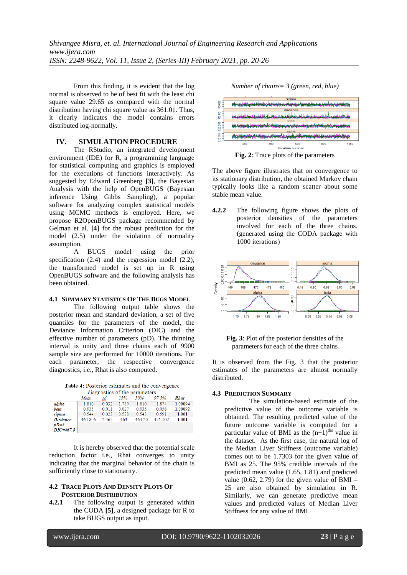From this finding, it is evident that the log normal is observed to be of best fit with the least chi square value 29.65 as compared with the normal distribution having chi square value as 361.01. Thus, it clearly indicates the model contains errors distributed log-normally.

## **IV. SIMULATION PROCEDURE**

 The RStudio, an integrated development environment (IDE) for R, a programming language for statistical computing and graphics is employed for the executions of functions interactively. As suggested by Edward Greenberg **[3]**, the Bayesian Analysis with the help of OpenBUGS (Bayesian inference Using Gibbs Sampling), a popular software for analyzing complex statistical models using MCMC methods is employed. Here, we propose R2OpenBUGS package recommended by Gelman et al. **[4]** for the robust prediction for the model (2.5) under the violation of normality assumption.

A BUGS model using the prior specification  $(2.4)$  and the regression model  $(2.2)$ , the transformed model is set up in R using OpenBUGS software and the following analysis has been obtained.

## **4.1 SUMMARY STATISTICS OF THE BUGS MODEL**

The following output table shows the posterior mean and standard deviation, a set of five quantiles for the parameters of the model, the Deviance Information Criterion (DIC) and the effective number of parameters (pD). The thinning interval is unity and three chains each of 9900 sample size are performed for 10000 iterations. For each parameter, the respective convergence diagnostics, i.e., Rhat is also computed.

Table 4: Posterior estimates and the convergence diagnostics of the narameters

|               | chagnostics of the parameters |       |       |        |         |         |  |
|---------------|-------------------------------|-------|-------|--------|---------|---------|--|
|               | Mean                          | ε₫    | 25%   | 50%    | 97.5%   | Rhat    |  |
| alpha         | 1.810                         | 0.032 | 1.789 | 1.810  | 1.874   | 1.00094 |  |
| beta          | 0.035                         | 0.011 | 0.027 | 0.035  | 0.058   | 1.00092 |  |
| sigma         | 0.544                         | 0.023 | 0.528 | 0.543  | 0.591   | 1.001   |  |
| Deviance      | 464.806                       | 2.465 | 463   | 464.20 | 471.102 | 1.001   |  |
| $pD=3$        |                               |       |       |        |         |         |  |
| $DIC = 467.8$ |                               |       |       |        |         |         |  |

It is hereby observed that the potential scale reduction factor i.e., Rhat converges to unity indicating that the marginal behavior of the chain is sufficiently close to stationarity.

#### **4.2 TRACE PLOTS AND DENSITY PLOTS OF POSTERIOR DISTRIBUTION**

**4.2.1** The following output is generated within the CODA **[5]**, a designed package for R to take BUGS output as input.

*Number of chains= 3 (green, red, blue)*



**Fig. 2**: Trace plots of the parameters

The above figure illustrates that on convergence to its stationary distribution, the obtained Markov chain typically looks like a random scatter about some stable mean value.

**4.2.2** The following figure shows the plots of posterior densities of the parameters involved for each of the three chains. (generated using the CODA package with 1000 iterations)





It is observed from the Fig. 3 that the posterior estimates of the parameters are almost normally distributed.

## **4.3 PREDICTION SUMMARY**

The simulation-based estimate of the predictive value of the outcome variable is obtained. The resulting predicted value of the future outcome variable is computed for a particular value of BMI as the  $(n+1)$ <sup>ths</sup> value in the dataset. As the first case, the natural log of the Median Liver Stiffness (outcome variable) comes out to be 1.7303 for the given value of BMI as 25. The 95% credible intervals of the predicted mean value (1.65, 1.81) and predicted value (0.62, 2.79) for the given value of BMI = 25 are also obtained by simulation in R. Similarly, we can generate predictive mean values and predicted values of Median Liver Stiffness for any value of BMI.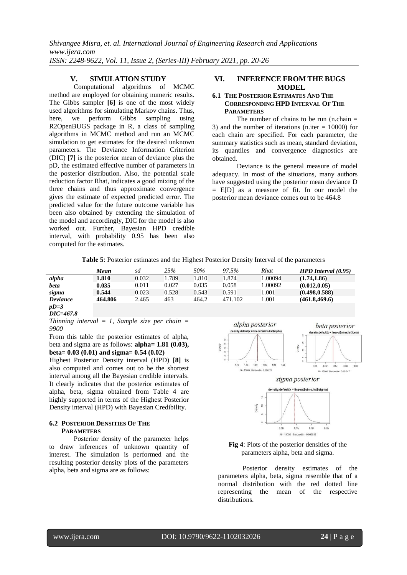*Shivangee Misra, et. al. International Journal of Engineering Research and Applications www.ijera.com ISSN: 2248-9622, Vol. 11, Issue 2, (Series-III) February 2021, pp. 20-26*

## **V. SIMULATION STUDY**

Computational algorithms of MCMC method are employed for obtaining numeric results. The Gibbs sampler **[6]** is one of the most widely used algorithms for simulating Markov chains. Thus, here, we perform Gibbs sampling using R2OpenBUGS package in R, a class of sampling algorithms in MCMC method and run an MCMC simulation to get estimates for the desired unknown parameters. The Deviance Information Criterion (DIC) **[7]** is the posterior mean of deviance plus the pD, the estimated effective number of parameters in the posterior distribution. Also, the potential scale reduction factor Rhat, indicates a good mixing of the three chains and thus approximate convergence gives the estimate of expected predicted error. The predicted value for the future outcome variable has been also obtained by extending the simulation of the model and accordingly, DIC for the model is also worked out. Further, Bayesian HPD credible interval, with probability 0.95 has been also computed for the estimates.

# **VI. INFERENCE FROM THE BUGS MODEL**

## **6.1 THE POSTERIOR ESTIMATES AND THE CORRESPONDING HPD INTERVAL OF THE PARAMETERS**

The number of chains to be run (n.chain  $=$ 3) and the number of iterations (n.iter  $= 10000$ ) for each chain are specified. For each parameter, the summary statistics such as mean, standard deviation, its quantiles and convergence diagnostics are obtained.

Deviance is the general measure of model adequacy. In most of the situations, many authors have suggested using the posterior mean deviance D = E[D] as a measure of fit. In our model the posterior mean deviance comes out to be 464.8

**Table 5**: Posterior estimates and the Highest Posterior Density Interval of the parameters

|          | Mean    | sd    | 25%   | 50%   | 97.5%   | Rhat    | $HPD$ Interval $(0.95)$ |
|----------|---------|-------|-------|-------|---------|---------|-------------------------|
| alpha    | 1.810   | 0.032 | 1.789 | 1.810 | 1.874   | 1.00094 | (1.74, 1.86)            |
| beta     | 0.035   | 0.011 | 0.027 | 0.035 | 0.058   | 1.00092 | (0.012, 0.05)           |
| sigma    | 0.544   | 0.023 | 0.528 | 0.543 | 0.591   | 1.001   | (0.498, 0.588)          |
| Deviance | 464.806 | 2.465 | 463   | 464.2 | 471.102 | .001    | (461.8, 469.6)          |
| $pD=3$   |         |       |       |       |         |         |                         |

*DIC=467.8*

*Thinning interval = 1, Sample size per chain = 9900*

From this table the posterior estimates of alpha, beta and sigma are as follows: **alpha= 1.81 (0.03), beta= 0.03 (0.01) and sigma= 0.54 (0.02)**

Highest Posterior Density interval (HPD) **[8]** is also computed and comes out to be the shortest interval among all the Bayesian credible intervals. It clearly indicates that the posterior estimates of alpha, beta, sigma obtained from Table 4 are highly supported in terms of the Highest Posterior Density interval (HPD) with Bayesian Credibility.

## **6.2 POSTERIOR DENSITIES OF THE PARAMETERS**

Posterior density of the parameter helps to draw inferences of unknown quantity of interest. The simulation is performed and the resulting posterior density plots of the parameters alpha, beta and sigma are as follows:







#### **Fig 4**: Plots of the posterior densities of the parameters alpha, beta and sigma.

Posterior density estimates of the parameters alpha, beta, sigma resemble that of a normal distribution with the red dotted line representing the mean of the respective distributions.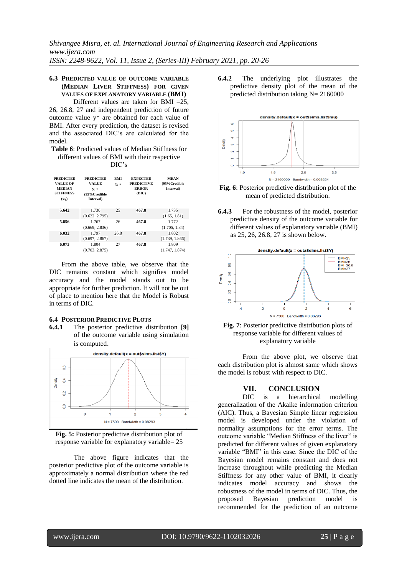## **6.3 PREDICTED VALUE OF OUTCOME VARIABLE (MEDIAN LIVER STIFFNESS) FOR GIVEN VALUES OF EXPLANATORY VARIABLE (BMI)**

Different values are taken for BMI =25, 26, 26.8, 27 and independent prediction of future outcome value y\* are obtained for each value of BMI. After every prediction, the dataset is revised and the associated DIC's are calculated for the model.

**Table 6**: Predicted values of Median Stiffness for different values of BMI with their respective

DIC's

| <b>PREDICTED</b><br>VALUE OF<br><b>MEDIAN</b><br><b>STIFFNESS</b><br>$(\mathbf{z}_i)$ | <b>PREDICTED</b><br>VALUE<br>$V_i$ *<br>(95% Credible<br><b>Interval</b> ) |      | <b>EXPECTED</b><br><b>PREDICTIVE</b><br><b>ERROR</b><br>(DIC) | <b>MEAN</b><br>(95% Credible<br><b>Interval</b> ) |  |
|---------------------------------------------------------------------------------------|----------------------------------------------------------------------------|------|---------------------------------------------------------------|---------------------------------------------------|--|
| 5.642                                                                                 | 1.730                                                                      | 25   | 467.8                                                         | 1.735                                             |  |
|                                                                                       | (0.622, 2.795)                                                             |      |                                                               | (1.65, 1.81)                                      |  |
| 5.856                                                                                 | 1.767                                                                      | 26   | 467.8                                                         | 1.772                                             |  |
|                                                                                       | (0.669, 2.836)                                                             |      |                                                               | (1.705, 1.84)                                     |  |
| 6.032                                                                                 | 1.797                                                                      | 26.8 | 467.8                                                         | 1.802                                             |  |
|                                                                                       | (0.697, 2.867)                                                             |      |                                                               | (1.739, 1.866)                                    |  |
| 6.073                                                                                 | 1.804                                                                      | 27   | 467.8                                                         | 1.809                                             |  |
|                                                                                       | (0.703, 2.875)                                                             |      |                                                               | (1.747, 1.874)                                    |  |

From the above table, we observe that the DIC remains constant which signifies model accuracy and the model stands out to be appropriate for further prediction. It will not be out of place to mention here that the Model is Robust in terms of DIC.

## **6.4 POSTERIOR PREDICTIVE PLOTS**

**6.4.1** The posterior predictive distribution **[9]** of the outcome variable using simulation is computed.





The above figure indicates that the posterior predictive plot of the outcome variable is approximately a normal distribution where the red dotted line indicates the mean of the distribution.

**6.4.2** The underlying plot illustrates the predictive density plot of the mean of the predicted distribution taking  $N = 2160000$ 



**Fig. 6**: Posterior predictive distribution plot of the mean of predicted distribution.

**6.4.3** For the robustness of the model, posterior predictive density of the outcome variable for different values of explanatory variable (BMI) as 25, 26, 26.8, 27 is shown below.



**Fig. 7**: Posterior predictive distribution plots of response variable for different values of explanatory variable

From the above plot, we observe that each distribution plot is almost same which shows the model is robust with respect to DIC.

# **VII. CONCLUSION**

DIC is a hierarchical modelling generalization of the Akaike information criterion (AIC). Thus, a Bayesian Simple linear regression model is developed under the violation of normality assumptions for the error terms. The outcome variable "Median Stiffness of the liver" is predicted for different values of given explanatory variable "BMI" in this case. Since the DIC of the Bayesian model remains constant and does not increase throughout while predicting the Median Stiffness for any other value of BMI, it clearly indicates model accuracy and shows the robustness of the model in terms of DIC. Thus, the proposed Bayesian prediction model is recommended for the prediction of an outcome